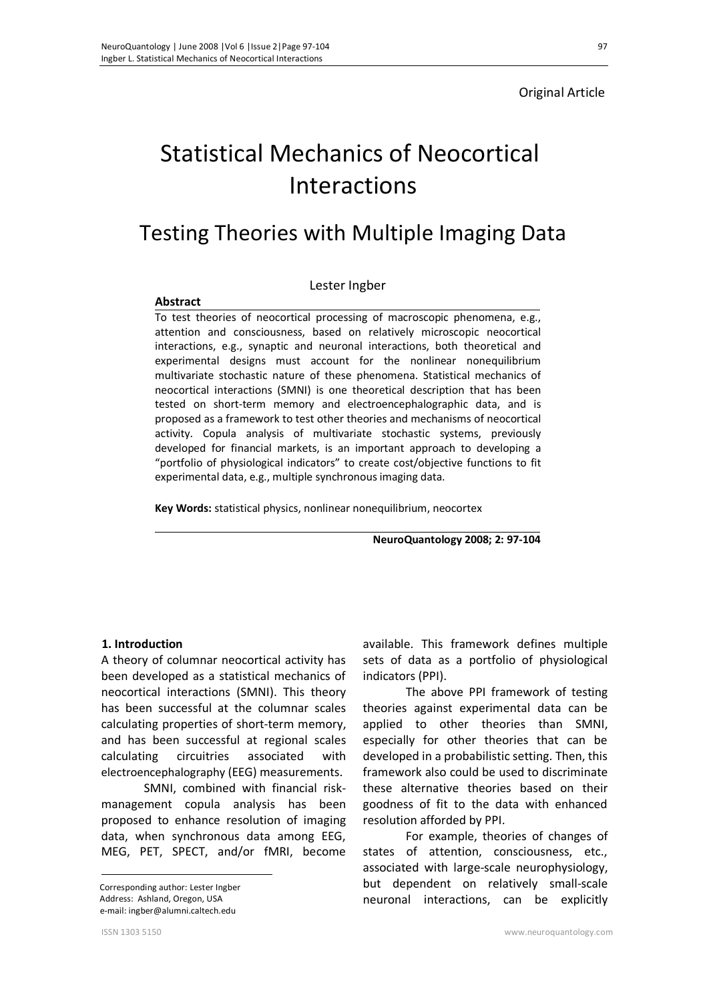### Original Article

# Statistical Mechanics of Neocortical Interactions

# Testing Theories with Multiple Imaging Data

#### Lester Ingber

#### **Abstract**

To test theories of neocortical processing of macroscopic phenomena, e.g., attention and consciousness, based on relatively microscopic neocortical interactions, e.g., synaptic and neuronal interactions, both theoretical and experimental designs must account for the nonlinear nonequilibrium multivariate stochastic nature of these phenomena. Statistical mechanics of neocortical interactions (SMNI) is one theoretical description that has been tested on short-term memory and electroencephalographic data, and is proposed as a framework to test other theories and mechanisms of neocortical activity. Copula analysis of multivariate stochastic systems, previously developed for financial markets, is an important approach to developing a "portfolio of physiological indicators" to create cost/objective functions to fit experimental data, e.g., multiple synchronous imaging data.

**Key Words:** statistical physics, nonlinear nonequilibrium, neocortex

**NeuroQuantology 2008; 2: 97-104**

#### **1. Introduction**

A theory of columnar neocortical activity has been developed as a statistical mechanics of neocortical interactions (SMNI). This theory has been successful at the columnar scales calculating properties of short-term memory, and has been successful at regional scales calculating circuitries associated with electroencephalography (EEG) measurements.

SMNI, combined with financial riskmanagement copula analysis has been proposed to enhance resolution of imaging data, when synchronous data among EEG, MEG, PET, SPECT, and/or fMRI, become

 Corresponding author: Lester Ingber Address: Ashland, Oregon, USA e-mail: ingber@alumni.caltech.edu

available. This framework defines multiple sets of data as a portfolio of physiological indicators (PPI).

The above PPI framework of testing theories against experimental data can be applied to other theories than SMNI, especially for other theories that can be developed in a probabilistic setting. Then, this framework also could be used to discriminate these alternative theories based on their goodness of fit to the data with enhanced resolution afforded by PPI.

For example, theories of changes of states of attention, consciousness, etc., associated with large-scale neurophysiology, but dependent on relatively small-scale neuronal interactions, can be explicitly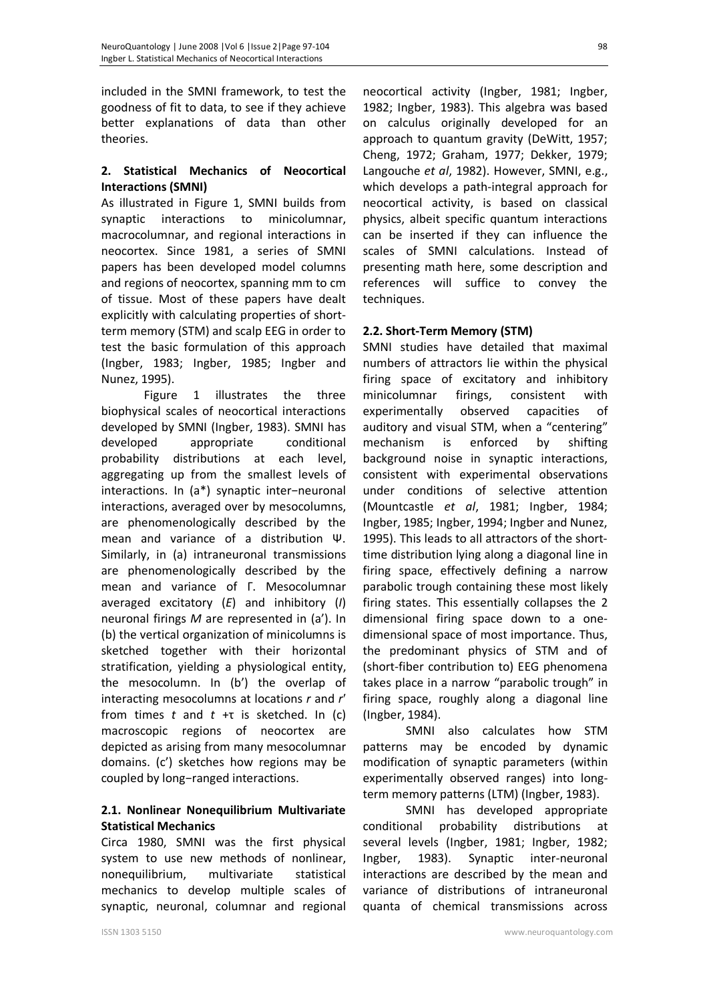included in the SMNI framework, to test the goodness of fit to data, to see if they achieve better explanations of data than other theories.

## **2. Statistical Mechanics of Neocortical Interactions (SMNI)**

As illustrated in Figure 1, SMNI builds from synaptic interactions to minicolumnar, macrocolumnar, and regional interactions in neocortex. Since 1981, a series of SMNI papers has been developed model columns and regions of neocortex, spanning mm to cm of tissue. Most of these papers have dealt explicitly with calculating properties of shortterm memory (STM) and scalp EEG in order to test the basic formulation of this approach (Ingber, 1983; Ingber, 1985; Ingber and Nunez, 1995).

Figure 1 illustrates the three biophysical scales of neocortical interactions developed by SMNI (Ingber, 1983). SMNI has developed appropriate conditional probability distributions at each level, aggregating up from the smallest levels of interactions. In (a\*) synaptic inter−neuronal interactions, averaged over by mesocolumns, are phenomenologically described by the mean and variance of a distribution Ψ. Similarly, in (a) intraneuronal transmissions are phenomenologically described by the mean and variance of Γ. Mesocolumnar averaged excitatory (*E*) and inhibitory (*I*) neuronal firings *M* are represented in (a'). In (b) the vertical organization of minicolumns is sketched together with their horizontal stratification, yielding a physiological entity, the mesocolumn. In (b') the overlap of interacting mesocolumns at locations *r* and *r*′ from times *t* and *t* +τ is sketched. In (c) macroscopic regions of neocortex are depicted as arising from many mesocolumnar domains. (c') sketches how regions may be coupled by long−ranged interactions.

# **2.1. Nonlinear Nonequilibrium Multivariate Statistical Mechanics**

Circa 1980, SMNI was the first physical system to use new methods of nonlinear, nonequilibrium, multivariate statistical mechanics to develop multiple scales of synaptic, neuronal, columnar and regional

neocortical activity (Ingber, 1981; Ingber, 1982; Ingber, 1983). This algebra was based on calculus originally developed for an approach to quantum gravity (DeWitt, 1957; Cheng, 1972; Graham, 1977; Dekker, 1979; Langouche *et al*, 1982). However, SMNI, e.g., which develops a path-integral approach for neocortical activity, is based on classical physics, albeit specific quantum interactions can be inserted if they can influence the scales of SMNI calculations. Instead of presenting math here, some description and references will suffice to convey the techniques.

# **2.2. Short-Term Memory (STM)**

SMNI studies have detailed that maximal numbers of attractors lie within the physical firing space of excitatory and inhibitory minicolumnar firings, consistent with experimentally observed capacities of auditory and visual STM, when a "centering" mechanism is enforced by shifting background noise in synaptic interactions, consistent with experimental observations under conditions of selective attention (Mountcastle *et al*, 1981; Ingber, 1984; Ingber, 1985; Ingber, 1994; Ingber and Nunez, 1995). This leads to all attractors of the shorttime distribution lying along a diagonal line in firing space, effectively defining a narrow parabolic trough containing these most likely firing states. This essentially collapses the 2 dimensional firing space down to a onedimensional space of most importance. Thus, the predominant physics of STM and of (short-fiber contribution to) EEG phenomena takes place in a narrow "parabolic trough" in firing space, roughly along a diagonal line (Ingber, 1984).

SMNI also calculates how STM patterns may be encoded by dynamic modification of synaptic parameters (within experimentally observed ranges) into longterm memory patterns (LTM) (Ingber, 1983).

SMNI has developed appropriate conditional probability distributions at several levels (Ingber, 1981; Ingber, 1982; Ingber, 1983). Synaptic inter-neuronal interactions are described by the mean and variance of distributions of intraneuronal quanta of chemical transmissions across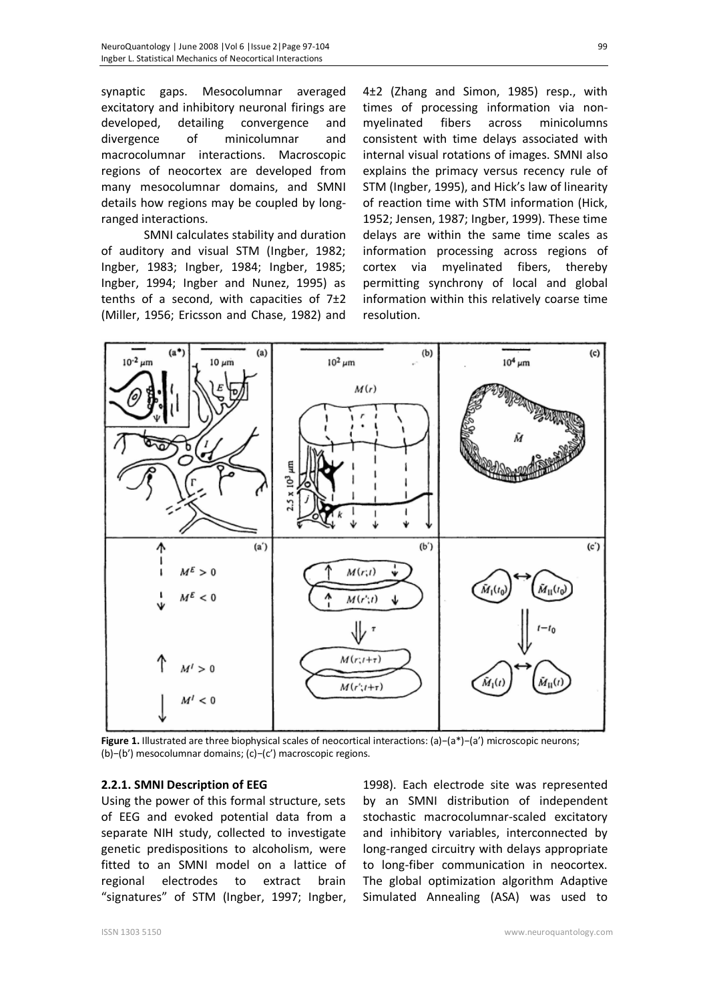synaptic gaps. Mesocolumnar averaged excitatory and inhibitory neuronal firings are developed, detailing convergence and divergence of minicolumnar and macrocolumnar interactions. Macroscopic regions of neocortex are developed from many mesocolumnar domains, and SMNI details how regions may be coupled by longranged interactions.

SMNI calculates stability and duration of auditory and visual STM (Ingber, 1982; Ingber, 1983; Ingber, 1984; Ingber, 1985; Ingber, 1994; Ingber and Nunez, 1995) as tenths of a second, with capacities of  $7±2$ (Miller, 1956; Ericsson and Chase, 1982) and

4±2 (Zhang and Simon, 1985) resp., with times of processing information via nonmyelinated fibers across minicolumns consistent with time delays associated with internal visual rotations of images. SMNI also explains the primacy versus recency rule of STM (Ingber, 1995), and Hick's law of linearity of reaction time with STM information (Hick, 1952; Jensen, 1987; Ingber, 1999). These time delays are within the same time scales as information processing across regions of cortex via myelinated fibers, thereby permitting synchrony of local and global information within this relatively coarse time resolution.



**Figure 1.** Illustrated are three biophysical scales of neocortical interactions: (a)−(a\*)−(a') microscopic neurons; (b)−(b') mesocolumnar domains; (c)−(c') macroscopic regions.

#### **2.2.1. SMNI Description of EEG**

Using the power of this formal structure, sets of EEG and evoked potential data from a separate NIH study, collected to investigate genetic predispositions to alcoholism, were fitted to an SMNI model on a lattice of regional electrodes to extract brain "signatures" of STM (Ingber, 1997; Ingber,

1998). Each electrode site was represented by an SMNI distribution of independent stochastic macrocolumnar-scaled excitatory and inhibitory variables, interconnected by long-ranged circuitry with delays appropriate to long-fiber communication in neocortex. The global optimization algorithm Adaptive Simulated Annealing (ASA) was used to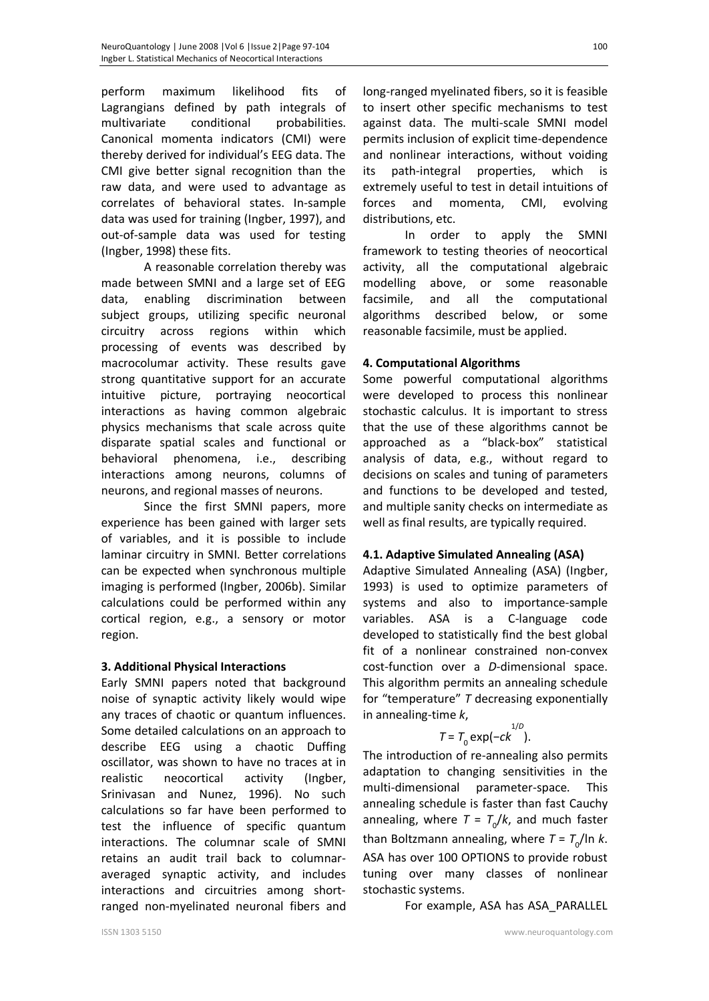perform maximum likelihood fits of Lagrangians defined by path integrals of multivariate conditional probabilities. Canonical momenta indicators (CMI) were thereby derived for individual's EEG data. The CMI give better signal recognition than the raw data, and were used to advantage as correlates of behavioral states. In-sample data was used for training (Ingber, 1997), and out-of-sample data was used for testing (Ingber, 1998) these fits.

A reasonable correlation thereby was made between SMNI and a large set of EEG data, enabling discrimination between subject groups, utilizing specific neuronal circuitry across regions within which processing of events was described by macrocolumar activity. These results gave strong quantitative support for an accurate intuitive picture, portraying neocortical interactions as having common algebraic physics mechanisms that scale across quite disparate spatial scales and functional or behavioral phenomena, i.e., describing interactions among neurons, columns of neurons, and regional masses of neurons.

Since the first SMNI papers, more experience has been gained with larger sets of variables, and it is possible to include laminar circuitry in SMNI. Better correlations can be expected when synchronous multiple imaging is performed (Ingber, 2006b). Similar calculations could be performed within any cortical region, e.g., a sensory or motor region.

### **3. Additional Physical Interactions**

Early SMNI papers noted that background noise of synaptic activity likely would wipe any traces of chaotic or quantum influences. Some detailed calculations on an approach to describe EEG using a chaotic Duffing oscillator, was shown to have no traces at in realistic neocortical activity (Ingber, Srinivasan and Nunez, 1996). No such calculations so far have been performed to test the influence of specific quantum interactions. The columnar scale of SMNI retains an audit trail back to columnaraveraged synaptic activity, and includes interactions and circuitries among shortranged non-myelinated neuronal fibers and

long-ranged myelinated fibers, so it is feasible to insert other specific mechanisms to test against data. The multi-scale SMNI model permits inclusion of explicit time-dependence and nonlinear interactions, without voiding its path-integral properties, which is extremely useful to test in detail intuitions of forces and momenta, CMI, evolving distributions, etc.

In order to apply the SMNI framework to testing theories of neocortical activity, all the computational algebraic modelling above, or some reasonable facsimile, and all the computational algorithms described below, or some reasonable facsimile, must be applied.

#### **4. Computational Algorithms**

Some powerful computational algorithms were developed to process this nonlinear stochastic calculus. It is important to stress that the use of these algorithms cannot be approached as a "black-box" statistical analysis of data, e.g., without regard to decisions on scales and tuning of parameters and functions to be developed and tested, and multiple sanity checks on intermediate as well as final results, are typically required.

### **4.1. Adaptive Simulated Annealing (ASA)**

Adaptive Simulated Annealing (ASA) (Ingber, 1993) is used to optimize parameters of systems and also to importance-sample variables. ASA is a C-language code developed to statistically find the best global fit of a nonlinear constrained non-convex cost-function over a *D*-dimensional space. This algorithm permits an annealing schedule for "temperature" *T* decreasing exponentially in annealing-time *k*, 1/*D*

$$
T = T_0 \exp(-ck^{1/D}).
$$

The introduction of re-annealing also permits adaptation to changing sensitivities in the multi-dimensional parameter-space. This annealing schedule is faster than fast Cauchy annealing, where  $T = T_o/k$ , and much faster than Boltzmann annealing, where  $T = T_{\text{o}}/$ In *k*. ASA has over 100 OPTIONS to provide robust tuning over many classes of nonlinear stochastic systems.

For example, ASA has ASA\_PARALLEL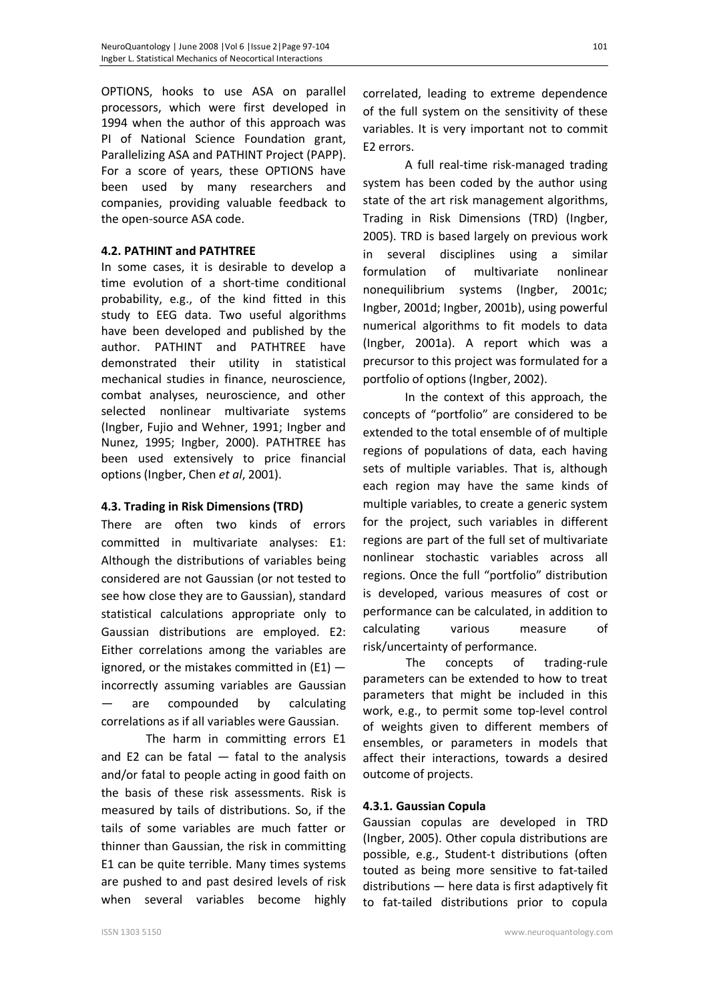OPTIONS, hooks to use ASA on parallel processors, which were first developed in 1994 when the author of this approach was PI of National Science Foundation grant, Parallelizing ASA and PATHINT Project (PAPP). For a score of years, these OPTIONS have been used by many researchers and companies, providing valuable feedback to the open-source ASA code.

#### **4.2. PATHINT and PATHTREE**

In some cases, it is desirable to develop a time evolution of a short-time conditional probability, e.g., of the kind fitted in this study to EEG data. Two useful algorithms have been developed and published by the author. PATHINT and PATHTREE have demonstrated their utility in statistical mechanical studies in finance, neuroscience, combat analyses, neuroscience, and other selected nonlinear multivariate systems (Ingber, Fujio and Wehner, 1991; Ingber and Nunez, 1995; Ingber, 2000). PATHTREE has been used extensively to price financial options (Ingber, Chen *et al*, 2001).

### **4.3. Trading in Risk Dimensions (TRD)**

There are often two kinds of errors committed in multivariate analyses: E1: Although the distributions of variables being considered are not Gaussian (or not tested to see how close they are to Gaussian), standard statistical calculations appropriate only to Gaussian distributions are employed. E2: Either correlations among the variables are ignored, or the mistakes committed in  $(E1)$  incorrectly assuming variables are Gaussian are compounded by calculating correlations as if all variables were Gaussian.

 The harm in committing errors E1 and E2 can be fatal  $-$  fatal to the analysis and/or fatal to people acting in good faith on the basis of these risk assessments. Risk is measured by tails of distributions. So, if the tails of some variables are much fatter or thinner than Gaussian, the risk in committing E1 can be quite terrible. Many times systems are pushed to and past desired levels of risk when several variables become highly correlated, leading to extreme dependence of the full system on the sensitivity of these variables. It is very important not to commit E2 errors.

A full real-time risk-managed trading system has been coded by the author using state of the art risk management algorithms, Trading in Risk Dimensions (TRD) (Ingber, 2005). TRD is based largely on previous work in several disciplines using a similar formulation of multivariate nonlinear nonequilibrium systems (Ingber, 2001c; Ingber, 2001d; Ingber, 2001b), using powerful numerical algorithms to fit models to data (Ingber, 2001a). A report which was a precursor to this project was formulated for a portfolio of options (Ingber, 2002).

In the context of this approach, the concepts of "portfolio" are considered to be extended to the total ensemble of of multiple regions of populations of data, each having sets of multiple variables. That is, although each region may have the same kinds of multiple variables, to create a generic system for the project, such variables in different regions are part of the full set of multivariate nonlinear stochastic variables across all regions. Once the full "portfolio" distribution is developed, various measures of cost or performance can be calculated, in addition to calculating various measure of risk/uncertainty of performance.

The concepts of trading-rule parameters can be extended to how to treat parameters that might be included in this work, e.g., to permit some top-level control of weights given to different members of ensembles, or parameters in models that affect their interactions, towards a desired outcome of projects.

#### **4.3.1. Gaussian Copula**

Gaussian copulas are developed in TRD (Ingber, 2005). Other copula distributions are possible, e.g., Student-t distributions (often touted as being more sensitive to fat-tailed distributions — here data is first adaptively fit to fat-tailed distributions prior to copula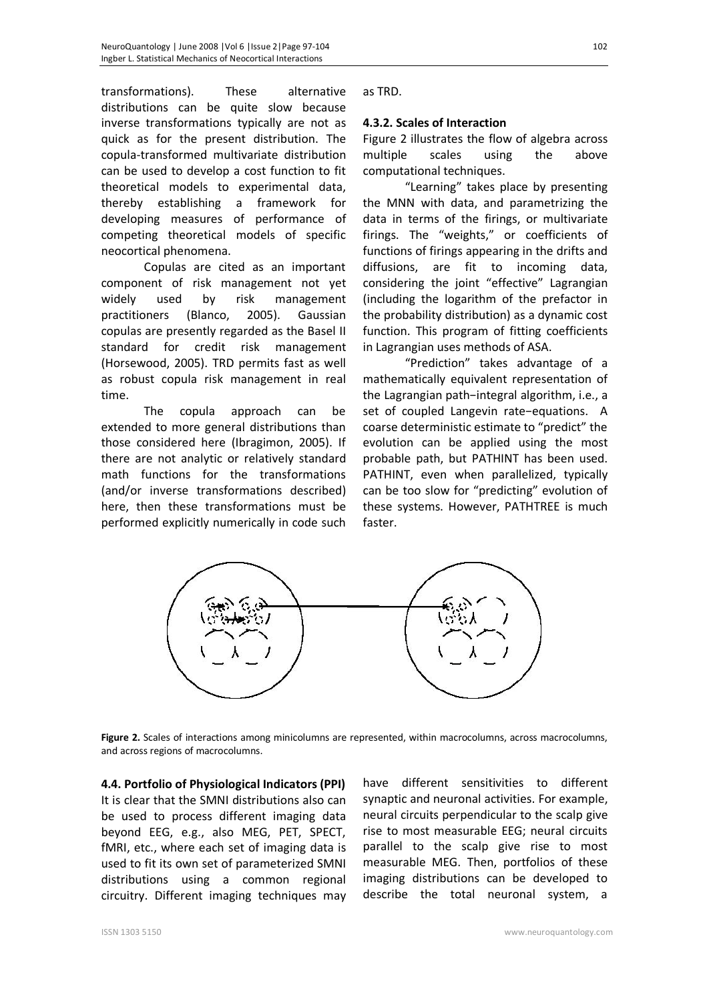transformations). These alternative distributions can be quite slow because inverse transformations typically are not as quick as for the present distribution. The copula-transformed multivariate distribution can be used to develop a cost function to fit theoretical models to experimental data, thereby establishing a framework for developing measures of performance of competing theoretical models of specific neocortical phenomena.

Copulas are cited as an important component of risk management not yet widely used by risk management practitioners (Blanco, 2005). Gaussian copulas are presently regarded as the Basel II standard for credit risk management (Horsewood, 2005). TRD permits fast as well as robust copula risk management in real time.

The copula approach can be extended to more general distributions than those considered here (Ibragimon, 2005). If there are not analytic or relatively standard math functions for the transformations (and/or inverse transformations described) here, then these transformations must be performed explicitly numerically in code such

as TRD.

### **4.3.2. Scales of Interaction**

Figure 2 illustrates the flow of algebra across multiple scales using the above computational techniques.

"Learning" takes place by presenting the MNN with data, and parametrizing the data in terms of the firings, or multivariate firings. The "weights," or coefficients of functions of firings appearing in the drifts and diffusions, are fit to incoming data, considering the joint "effective" Lagrangian (including the logarithm of the prefactor in the probability distribution) as a dynamic cost function. This program of fitting coefficients in Lagrangian uses methods of ASA.

"Prediction" takes advantage of a mathematically equivalent representation of the Lagrangian path−integral algorithm, i.e., a set of coupled Langevin rate−equations. A coarse deterministic estimate to "predict" the evolution can be applied using the most probable path, but PATHINT has been used. PATHINT, even when parallelized, typically can be too slow for "predicting" evolution of these systems. However, PATHTREE is much faster.



**Figure 2.** Scales of interactions among minicolumns are represented, within macrocolumns, across macrocolumns, and across regions of macrocolumns.

**4.4. Portfolio of Physiological Indicators (PPI)**  It is clear that the SMNI distributions also can be used to process different imaging data beyond EEG, e.g., also MEG, PET, SPECT, fMRI, etc., where each set of imaging data is used to fit its own set of parameterized SMNI distributions using a common regional circuitry. Different imaging techniques may

have different sensitivities to different synaptic and neuronal activities. For example, neural circuits perpendicular to the scalp give rise to most measurable EEG; neural circuits parallel to the scalp give rise to most measurable MEG. Then, portfolios of these imaging distributions can be developed to describe the total neuronal system, a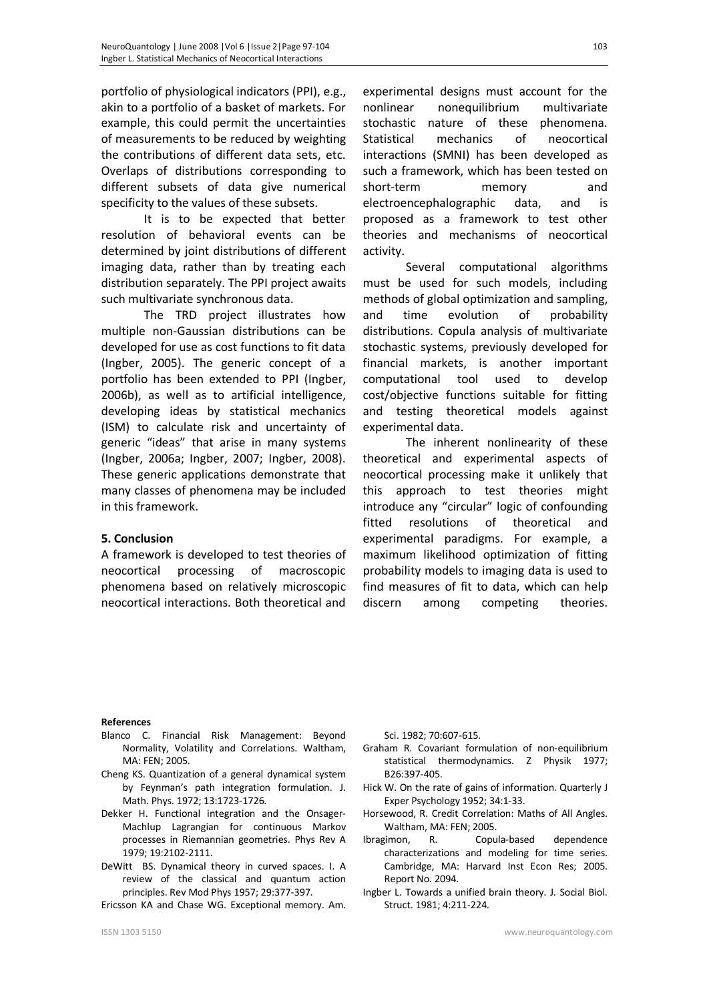portfolio of physiological indicators (PPI), e.g., akin to a portfolio of a basket of markets. For example, this could permit the uncertainties of measurements to be reduced by weighting the contributions of different data sets, etc. Overlaps of distributions corresponding to different subsets of data give numerical specificity to the values of these subsets.

It is to be expected that better resolution of behavioral events can be determined by joint distributions of different imaging data, rather than by treating each distribution separately. The PPI project awaits such multivariate synchronous data.

The TRD project illustrates how multiple non-Gaussian distributions can be developed for use as cost functions to fit data (Ingber, 2005). The generic concept of a portfolio has been extended to PPI (Ingber, 2006b), as well as to artificial intelligence, developing ideas by statistical mechanics (ISM) to calculate risk and uncertainty of generic "ideas" that arise in many systems (Ingber, 2006a; Ingber, 2007; Ingber, 2008). These generic applications demonstrate that many classes of phenomena may be included in this framework.

#### **5. Conclusion**

A framework is developed to test theories of neocortical processing of macroscopic phenomena based on relatively microscopic neocortical interactions. Both theoretical and

experimental designs must account for the nonlinear nonequilibrium multivariate stochastic nature of these phenomena. Statistical mechanics of neocortical interactions (SMNI) has been developed as such a framework, which has been tested on short-term memory and electroencephalographic data, and is proposed as a framework to test other theories and mechanisms of neocortical activity.

Several computational algorithms must be used for such models, including methods of global optimization and sampling, and time evolution of probability distributions. Copula analysis of multivariate stochastic systems, previously developed for financial markets, is another important computational tool used to develop cost/objective functions suitable for fitting and testing theoretical models against experimental data.

The inherent nonlinearity of these theoretical and experimental aspects of neocortical processing make it unlikely that this approach to test theories might introduce any "circular" logic of confounding fitted resolutions of theoretical and experimental paradigms. For example, a maximum likelihood optimization of fitting probability models to imaging data is used to find measures of fit to data, which can help discern among competing theories.

#### **References**

- Blanco C. Financial Risk Management: Beyond Normality, Volatility and Correlations. Waltham, MA: FEN; 2005.
- Cheng KS. Quantization of a general dynamical system by Feynman's path integration formulation. J. Math. Phys. 1972; 13:1723-1726.
- Dekker H. Functional integration and the Onsager-Machlup Lagrangian for continuous Markov processes in Riemannian geometries. Phys Rev A 1979; 19:2102-2111.
- DeWitt BS. Dynamical theory in curved spaces. I. A review of the classical and quantum action principles. Rev Mod Phys 1957; 29:377-397.

Ericsson KA and Chase WG. Exceptional memory. Am.

Sci. 1982; 70:607-615.

- Graham R. Covariant formulation of non-equilibrium statistical thermodynamics. Z Physik 1977; B26:397-405.
- Hick W. On the rate of gains of information. Quarterly J Exper Psychology 1952; 34:1-33.
- Horsewood, R. Credit Correlation: Maths of All Angles. Waltham, MA: FEN; 2005.
- Ibragimon, R. Copula-based dependence characterizations and modeling for time series. Cambridge, MA: Harvard Inst Econ Res; 2005. Report No. 2094.
- Ingber L. Towards a unified brain theory. J. Social Biol. Struct. 1981; 4:211-224.